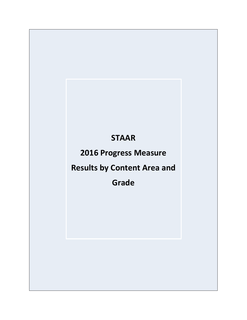# **STAAR**

# **2016 Progress Measure**

# **Results by Content Area and**

**Grade**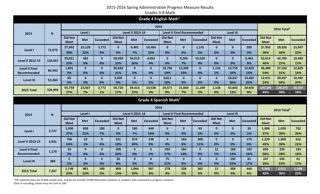# Grades 4-8 Math

|                                   |           |                               |             |                 |                               |                         | Grade 4 English Math <sup>1</sup> |                               |                                   |                 |                               |                  |                 |                               |                         |                 |
|-----------------------------------|-----------|-------------------------------|-------------|-----------------|-------------------------------|-------------------------|-----------------------------------|-------------------------------|-----------------------------------|-----------------|-------------------------------|------------------|-----------------|-------------------------------|-------------------------|-----------------|
|                                   |           |                               |             |                 |                               |                         | 2016                              |                               |                                   |                 |                               |                  |                 |                               | 2016 Total <sup>2</sup> |                 |
| 2015                              | ${\bf N}$ |                               | Level I     |                 |                               | <b>Level II 2015-16</b> |                                   |                               | <b>Level II Final Recommended</b> |                 |                               | <b>Level III</b> |                 |                               |                         |                 |
|                                   |           | <b>Did Not</b><br><b>Meet</b> | <b>Met</b>  | <b>Exceeded</b> | <b>Did Not</b><br><b>Meet</b> | <b>Met</b>              | <b>Exceeded</b>                   | <b>Did Not</b><br><b>Meet</b> | <b>Met</b>                        | <b>Exceeded</b> | <b>Did Not</b><br><b>Meet</b> | <b>Met</b>       | <b>Exceeded</b> | <b>Did Not</b><br><b>Meet</b> | <b>Met</b>              | <b>Exceeded</b> |
|                                   |           | 27,952                        | 23,125      | 3,772           | $\mathbf{0}$                  | 5,401                   | 10,484                            | $\mathbf{0}$                  | $\mathbf{0}$                      | 1,141           | $\mathbf{0}$                  | $\mathbf{0}$     | 200             | 27,952                        | 28,526                  | 15,597          |
| Level I                           | 72,075    | 39%                           | 32%         | 5%              | 0%                            | 7%                      | 15%                               | 0%                            | 0%                                | 2%              | 0%                            | 0%               | 0%              | 39%                           | 40%                     | 22%             |
|                                   | 115,057   | 25,821                        | 482         | $\mathbf 0$     | 26,993                        | 34,013                  | 4,052                             | $\mathbf{0}$                  | 8,265                             | 10,028          | $\mathbf{0}$                  | $\mathbf{0}$     | 5,403           | 52,814                        | 42,760                  | 19,483          |
| <b>Level II 2012-15</b>           |           | 22%                           | 0%          | 0%              | 23%                           | 30%                     | 4%                                | 0%                            | 7%                                | 9%              | 0%                            | 0%               | 5%              | 46%                           | 37%                     | 17%             |
| <b>Level II Final</b>             | 86,463    | 1,901                         | $\mathbf 0$ | $\mathbf 0$     | 26,692                        | $\mathbf{0}$            | $\mathbf{0}$                      | 16,760                        | 13,395                            | $\bf{0}$        | 1,135                         | 13,755           | 12,825          | 46,488                        | 27,150                  | 12,825          |
| Recommended                       |           | 2%                            | 0%          | 0%              | 31%                           | 0%                      | 0%                                | 19%                           | 15%                               | 0%              | 1%                            | 16%              | 15%             | 54%                           | 31%                     | 15%             |
| <b>Level III</b>                  | 53,360    | 85                            | $\bf{0}$    | $\mathbf 0$     | 3,035                         | $\mathbf{0}$            | $\mathbf{0}$                      | 9,811                         | $\mathbf 0$                       | $\mathbf{0}$    | $\mathbf{0}$                  | 29,937           | 10,492          | 12,931                        | 29,937                  | 10,492          |
|                                   |           | 0%                            | 0%          | 0%              | 6%                            | 0%                      | 0%                                | 18%                           | 0%                                | 0%              | 0%                            | 56%              | 20%             | 24%                           | 56%                     | 20%             |
| <b>2015 Total</b>                 | 326,955   | 55,759                        | 23,607      | 3,772           | 56,720                        | 39,414                  | 14,536                            | 26,571                        | 21,660                            | 11,169          | 1,135                         | 43,692           | 28,920          | 140,185                       | 128,373                 | 58,397          |
|                                   |           | 17%                           | 7%          | 1%              | 17%                           | 12%                     | 4%                                | 8%                            | 7%                                | 3%              | 0%                            | 13%              | 9%              | 43%                           | 39%                     | 18%             |
| Grade 4 Spanish Math <sup>1</sup> |           |                               |             |                 |                               |                         |                                   |                               |                                   |                 |                               |                  |                 |                               |                         |                 |
|                                   |           |                               |             |                 |                               |                         |                                   |                               |                                   |                 |                               |                  |                 |                               |                         |                 |
|                                   |           |                               |             |                 |                               |                         | 2016                              |                               |                                   |                 |                               |                  |                 |                               |                         |                 |
| 2015                              |           |                               | Level I     |                 |                               | <b>Level II 2015-16</b> |                                   |                               | <b>Level II Final Recommended</b> |                 |                               | <b>Level III</b> |                 |                               | 2016 Total <sup>2</sup> |                 |
|                                   | ${\bf N}$ | <b>Did Not</b><br><b>Meet</b> | <b>Met</b>  | <b>Exceeded</b> | <b>Did Not</b><br><b>Meet</b> | <b>Met</b>              | <b>Exceeded</b>                   | <b>Did Not</b><br><b>Meet</b> | <b>Met</b>                        | <b>Exceeded</b> | <b>Did Not</b><br><b>Meet</b> | <b>Met</b>       | <b>Exceeded</b> | <b>Did Not</b><br><b>Meet</b> | <b>Met</b>              | <b>Exceeded</b> |
|                                   |           | 1,006                         | 839         | 180             | $\mathbf{0}$                  | 190                     | 449                               | $\mathbf{0}$                  | $\mathbf{0}$                      | 53              | $\mathbf{0}$                  | $\bf{0}$         | 20              | 1,006                         | 1,029                   | 702             |
| Level I                           | 2,737     | 37%                           | 31%         | 7%              | 0%                            | 7%                      | 16%                               | 0%                            | 0%                                | 2%              | 0%                            | 0%               | 1%              | 37%                           | 38%                     | 26%             |
|                                   |           | 708                           | 22          | $\mathbf 0$     | 531                           | 874                     | 148                               | $\bf{0}$                      | 164                               | 309             | $\mathbf{0}$                  | $\mathbf{0}$     | 175             | 1,239                         | 1,060                   | 632             |
| <b>Level II 2012-15</b>           | 2,931     | 24%                           | 1%          | 0%              | 18%                           | 30%                     | 5%                                | 0%                            | 6%                                | 11%             | 0%                            | 0%               | 6%              | 42%                           | 36%                     | 22%             |
| <b>Level II Final</b>             |           | 33                            | $\mathbf 0$ | $\mathbf 0$     | 408                           | $\mathbf{0}$            | $\mathbf{0}$                      | 203                           | 164                               | $\mathbf 0$     | 12                            | 166              | 193             | 656                           | 330                     | 193             |
| Recommended                       | 1,179     | 3%                            | 0%          | 0%              | 35%                           | 0%                      | 0%                                | 17%                           | 14%                               | 0%              | 1%                            | 14%              | 16%             | 56%                           | 28%                     | 16%             |
|                                   |           | $\overline{2}$                | $\mathbf 0$ | $\mathbf 0$     | 30                            | $\mathbf{0}$            | $\mathbf{0}$                      | 75                            | $\mathbf{0}$                      | $\mathbf{0}$    | $\mathbf{0}$                  | 192              | 61              | 107                           | 192                     | 61              |
| <b>Level III</b>                  | 360       | 1%                            | 0%          | 0%              | 8%                            | 0%                      | 0%                                | 21%                           | 0%                                | 0%              | 0%                            | 53%              | 17%             | 30%                           | 53%                     | 17%             |
| <b>2015 Total</b>                 | 7,207     | 1,749                         | 861         | 180             | 969                           | 1,064                   | 597                               | 278                           | 328<br>5%                         | 362<br>5%       | 12                            | 358              | 449             | 3,008                         | 2,611                   | 1,588           |

<sup>1</sup>The reported data are STAAR results only, and do not include STAAR Alternate2 students or students who received ELL progress measure. <sup>2</sup>Due to rounding, values may not sum to 100.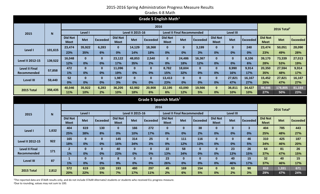| Grades 4-8 Math |  |  |
|-----------------|--|--|
|-----------------|--|--|

|                         |              |                               |                                   |                 |                               |                         | Grade 5 English Math $1$ |                               |                                   |                 |                               |                  |                 |                               |                         |                 |
|-------------------------|--------------|-------------------------------|-----------------------------------|-----------------|-------------------------------|-------------------------|--------------------------|-------------------------------|-----------------------------------|-----------------|-------------------------------|------------------|-----------------|-------------------------------|-------------------------|-----------------|
|                         |              |                               |                                   |                 |                               |                         | 2016                     |                               |                                   |                 |                               |                  |                 |                               | 2016 Total <sup>2</sup> |                 |
| 2015                    | $\mathbf N$  |                               | Level I                           |                 |                               | <b>Level II 2015-16</b> |                          |                               | <b>Level II Final Recommended</b> |                 |                               | <b>Level III</b> |                 |                               |                         |                 |
|                         |              | <b>Did Not</b><br><b>Meet</b> | <b>Met</b>                        | <b>Exceeded</b> | <b>Did Not</b><br><b>Meet</b> | <b>Met</b>              | <b>Exceeded</b>          | <b>Did Not</b><br><b>Meet</b> | <b>Met</b>                        | <b>Exceeded</b> | <b>Did Not</b><br><b>Meet</b> | <b>Met</b>       | <b>Exceeded</b> | <b>Did Not</b><br><b>Meet</b> | <b>Met</b>              | <b>Exceeded</b> |
|                         | 101,615      | 23,474                        | 35,922                            | 6,283           | $\bf{0}$                      | 14,129                  | 18,368                   | $\mathbf{0}$                  | $\mathbf{0}$                      | 3,199           | $\bf{0}$                      | $\mathbf{0}$     | 240             | 23,474                        | 50,051                  | 28,090          |
| Level I                 |              | 23%                           | 35%                               | 6%              | 0%                            | 14%                     | 18%                      | 0%                            | 0%                                | 3%              | 0%                            | 0%               | 0%              | 23%                           | 49%                     | 28%             |
| <b>Level II 2012-15</b> | 139,522      | 16,048                        | $\mathbf 0$                       | $\mathbf{0}$    | 23,122                        | 48,853                  | 2,540                    | $\mathbf{0}$                  | 24,486                            | 16,367          | $\bf{0}$                      | $\mathbf{0}$     | 8,106           | 39,170                        | 73,339                  | 27,013          |
|                         |              | 12%                           | 0%                                | 0%              | 17%                           | 35%                     | 2%                       | 0%                            | 18%                               | 12%             | 0%                            | 0%               | 6%              | 28%                           | 53%                     | 19%             |
| <b>Level II Final</b>   | 57,858       | 472                           | $\mathbf 0$                       | $\mathbf 0$     | 11,096                        | $\mathbf{0}$            | $\mathbf{0}$             | 8,782                         | 18,604                            | $\mathbf 0$     | $\mathbf 0$                   | 8,990            | 9,914           | 20,350                        | 27,594                  | 9,914           |
| Recommended             |              | 1%                            | 0%                                | 0%              | 19%                           | 0%                      | 0%                       | 15%                           | 32%                               | 0%              | 0%                            | 16%              | 17%             | 35%                           | 48%                     | 17%             |
| <b>Level III</b>        | 59,440       | 52                            | $\mathbf 0$                       | $\mathbf 0$     | 1,987                         | $\mathbf{0}$            | $\mathbf{0}$             | 13,413                        | $\mathbf{0}$                      | $\mathbf 0$     | $\mathbf 0$                   | 27,821           | 16,167          | 15,452                        | 27,821                  | 16,167          |
|                         |              | 0%                            | 0%                                | 0%              | 3%                            | 0%                      | 0%                       | 23%                           | 0%                                | 0%              | 0%                            | 47%              | 27%             | 26%                           | 47%                     | 27%             |
| 2015 Total              | 358,435      | 40,046                        | 35,922                            | 6,283           | 36,205                        | 62,982                  | 20,908                   | 22,195                        | 43,090                            | 19,566          | $\bf{0}$                      | 36,811           | 34,427          | 98,446                        | 178,805                 | 81,184          |
|                         |              | 11%                           | 10%                               | 2%              | 10%                           | 18%                     | 6%                       | 6%                            | 12%                               | 5%              | 0%                            | 10%              | 10%             | 27%                           | 50%                     | 23%             |
|                         |              |                               | Grade 5 Spanish Math <sup>1</sup> |                 |                               |                         |                          |                               |                                   |                 |                               |                  |                 |                               |                         |                 |
|                         |              |                               |                                   |                 |                               |                         |                          |                               |                                   |                 |                               |                  |                 |                               |                         |                 |
|                         |              |                               |                                   |                 |                               |                         | 2016                     |                               |                                   |                 |                               |                  |                 |                               |                         |                 |
| 2015                    | $\mathsf{N}$ |                               | Level I                           |                 |                               | <b>Level II 2015-16</b> |                          |                               | <b>Level II Final Recommended</b> |                 |                               | <b>Level III</b> |                 |                               | 2016 Total <sup>2</sup> |                 |
|                         |              | <b>Did Not</b><br><b>Meet</b> | <b>Met</b>                        | <b>Exceeded</b> | <b>Did Not</b><br><b>Meet</b> | <b>Met</b>              | <b>Exceeded</b>          | <b>Did Not</b><br><b>Meet</b> | <b>Met</b>                        | <b>Exceeded</b> | <b>Did Not</b><br><b>Meet</b> | <b>Met</b>       | <b>Exceeded</b> | <b>Did Not</b><br><b>Meet</b> | <b>Met</b>              | <b>Exceeded</b> |
|                         |              | 404                           | 619                               | 130             | $\mathbf{0}$                  | 166                     | 272                      | $\mathbf{0}$                  | $\mathbf{0}$                      | 38              | $\mathbf{0}$                  | $\mathbf{0}$     | $\mathbf{3}$    | 404                           | 785                     | 443             |
| Level I                 | 1,632        | 25%                           | 38%                               | 8%              | 0%                            | 10%                     | 17%                      | 0%                            | 0%                                | 2%              | 0%                            | 0%               | 0%              | 25%                           | 48%                     | 27%             |
|                         |              | 165                           | $\mathbf 0$                       | $\bf{0}$        | 145                           | 314                     | 25                       | $\mathbf{0}$                  | 111                               | 116             | $\bf{0}$                      | $\mathbf{0}$     | 46              | 310                           | 425                     | 187             |
| <b>Level II 2012-15</b> | 922          | 18%                           | 0%                                | 0%              | 16%                           | 34%                     | 3%                       | 0%                            | 12%                               | 13%             | 0%                            | 0%               | 5%              | 34%                           | 46%                     | 20%             |
| <b>Level II Final</b>   |              | 2 <sup>2</sup>                | $\mathbf 0$                       | $\bf{0}$        | 40                            | $\mathbf{0}$            | $\mathbf{0}$             | 22                            | 58                                | $\bf{0}$        | $\bf{0}$                      | 23               | 26              | 64                            | 81                      | 26              |
| Recommended             | 171          | 1%                            | 0%                                | 0%              | 23%                           | 0%                      | 0%                       | 13%                           | 34%                               | 0%              | 0%                            | 13%              | 15%             | 37%                           | 47%                     | 15%             |
|                         |              | $\blacktriangleleft$          | $\mathbf 0$                       | $\bf{0}$        | 8                             | $\mathbf{0}$            | $\mathbf{0}$             | 23                            | $\mathbf{0}$                      | $\bf{0}$        | $\bf{0}$                      | 40               | 15              | 32                            | 40                      | 15              |
| <b>Level III</b>        | 87           | 1%                            | 0%                                | 0%              | 9%                            | 0%                      | 0%                       | 26%                           | 0%                                | 0%              | 0%                            | 46%              | 17%             | 37%                           | 46%                     | 17%             |
| 2015 Total              | 2,812        | 572<br>20%                    | 619<br>22%                        | 130<br>5%       | 193<br>7%                     | 480<br>17%              | 297<br>11%               | 45<br>2%                      | 169<br>6%                         | 154<br>5%       | $\bf{0}$<br>0%                | 63<br>2%         | 90<br>3%        | 810<br>29%                    | 1,331<br>47%            | 671<br>24%      |

<sup>1</sup>The reported data are STAAR results only, and do not include STAAR Alternate2 students or students who received ELL progress measure. <sup>2</sup>Due to rounding, values may not sum to 100.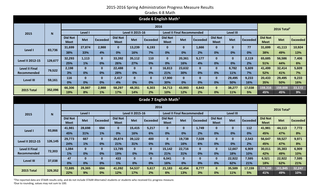| Grades 4-8 Math |  |  |
|-----------------|--|--|
|-----------------|--|--|

|                         |             |                               |              |                 |                               |                         | Grade 6 English Math $1$          |                               |                                   |                 |                               |                  |                 |                               |                         |                 |
|-------------------------|-------------|-------------------------------|--------------|-----------------|-------------------------------|-------------------------|-----------------------------------|-------------------------------|-----------------------------------|-----------------|-------------------------------|------------------|-----------------|-------------------------------|-------------------------|-----------------|
|                         |             |                               |              |                 |                               |                         | 2016                              |                               |                                   |                 |                               |                  |                 |                               | 2016 Total <sup>2</sup> |                 |
| 2015                    | $\mathbf N$ |                               | Level I      |                 |                               | <b>Level II 2015-16</b> |                                   |                               | <b>Level II Final Recommended</b> |                 |                               | <b>Level III</b> |                 |                               |                         |                 |
|                         |             | <b>Did Not</b><br><b>Meet</b> | <b>Met</b>   | <b>Exceeded</b> | <b>Did Not</b><br><b>Meet</b> | <b>Met</b>              | <b>Exceeded</b>                   | <b>Did Not</b><br><b>Meet</b> | <b>Met</b>                        | <b>Exceeded</b> | <b>Did Not</b><br><b>Meet</b> | <b>Met</b>       | <b>Exceeded</b> | <b>Did Not</b><br><b>Meet</b> | <b>Met</b>              | <b>Exceeded</b> |
|                         |             | 31,699                        | 27,874       | 2,988           | $\mathbf{0}$                  | 13,239                  | 6,193                             | $\bf{0}$                      | $\mathbf{0}$                      | 1,666           | $\bf{0}$                      | $\bf{0}$         | 77              | 31,699                        | 41,113                  | 10,924          |
| Level I                 | 83,736      | 38%                           | 33%          | 4%              | 0%                            | 16%                     | 7%                                | 0%                            | 0%                                | 2%              | 0%                            | 0%               | 0%              | 38%                           | 49%                     | 13%             |
|                         |             | 32,293                        | 1,113        | $\bf{0}$        | 33,392                        | 35,112                  | 110                               | $\mathbf{0}$                  | 20,361                            | 5,177           | $\Omega$                      | $\mathbf{0}$     | 2,119           | 65,685                        | 56,586                  | 7,406           |
| <b>Level II 2012-15</b> | 129,677     | 25%                           | 1%           | 0%              | 26%                           | 27%                     | 0%                                | 0%                            | 16%                               | 4%              | 0%                            | 0%               | 2%              | 51%                           | 44%                     | 6%              |
| <b>Level II Final</b>   | 79,522      | 2,198                         | $\mathbf{0}$ | $\bf{0}$        | 22,488                        | $\mathbf{0}$            | $\mathbf{0}$                      | 16,813                        | 23,632                            | $\bf{0}$        | $\bf{0}$                      | 8,782            | 5,609           | 41,499                        | 32,414                  | 5,609           |
| Recommended             |             | 3%                            | 0%           | 0%              | 28%                           | 0%                      | 0%                                | 21%                           | 30%                               | 0%              | 0%                            | 11%              | 7%              | 52%                           | 41%                     | 7%              |
| <b>Level III</b>        | 59,161      | 116                           | $\mathbf{0}$ | $\bf{0}$        | 2,417                         | $\mathbf{0}$            | $\mathbf{0}$                      | 17,900                        | $\mathbf{0}$                      | $\bf{0}$        | $\bf{0}$                      | 29,495           | 9,233           | 20,433                        | 29,495                  | 9,233           |
|                         |             | 0%                            | 0%           | 0%              | 4%                            | 0%                      | 0%                                | 30%                           | 0%                                | 0%              | 0%                            | 50%              | 16%             | 35%                           | 50%                     | 16%             |
| 2015 Total              | 352,096     | 66,306                        | 28,987       | 2,988           | 58,297                        | 48,351                  | 6,303                             | 34,713                        | 43,993                            | 6,843           | $\bf{0}$                      | 38,277           | 17,038          | 159,316                       | 159,608                 | 33,172          |
|                         |             | 19%                           | 8%           | 1%              | 17%                           | 14%                     | 2%                                | 10%                           | 12%                               | 2%              | 0%                            | 11%              | 5%              | 45%                           | 45%                     | 9%              |
|                         |             |                               |              |                 |                               |                         |                                   |                               |                                   |                 |                               |                  |                 |                               |                         |                 |
|                         |             |                               |              |                 |                               |                         | Grade 7 English Math <sup>1</sup> |                               |                                   |                 |                               |                  |                 |                               |                         |                 |
|                         |             |                               |              |                 |                               |                         | 2016                              |                               |                                   |                 |                               |                  |                 |                               |                         |                 |
| 2015                    | N           |                               | Level I      |                 |                               | <b>Level II 2015-16</b> |                                   |                               | <b>Level II Final Recommended</b> |                 |                               | <b>Level III</b> |                 |                               | 2016 Total <sup>2</sup> |                 |
|                         |             | <b>Did Not</b><br><b>Meet</b> | <b>Met</b>   | <b>Exceeded</b> | <b>Did Not</b><br><b>Meet</b> | <b>Met</b>              | <b>Exceeded</b>                   | <b>Did Not</b><br><b>Meet</b> | <b>Met</b>                        | <b>Exceeded</b> | <b>Did Not</b><br><b>Meet</b> | <b>Met</b>       | <b>Exceeded</b> | <b>Did Not</b><br><b>Meet</b> | <b>Met</b>              | <b>Exceeded</b> |
|                         |             | 41,981                        | 28,698       | 694             | $\mathbf{0}$                  | 15,415                  | 5,217                             | $\bf{0}$                      | $\mathbf{0}$                      | 1,749           | $\bf{0}$                      | $\bf{0}$         | 112             | 41,981                        | 44,113                  | 7,772           |
| Level I                 | 93,866      | 45%                           | 31%          | 1%              | 0%                            | 16%                     | 6%                                | 0%                            | 0%                                | 2%              | 0%                            | 0%               | 0%              | 45%                           | 47%                     | 8%              |
|                         |             | 29,773                        | 667          | $\bf{0}$        | 26,874                        | 39,122                  | 400                               | $\mathbf{0}$                  | 19,738                            | 7,028           | $\mathbf{0}$                  | $\bf{0}$         | 2,543           | 56,647                        | 59,527                  | 9,971           |
| <b>Level II 2012-15</b> | 126,145     | 24%                           | 1%           | 0%              | 21%                           | 31%                     | 0%                                | 0%                            | 16%                               | 6%              | 0%                            | 0%               | 2%              | 45%                           | 47%                     | 8%              |
| <b>Level II Final</b>   |             | 1,084                         | $\mathbf{0}$ | $\mathbf 0$     | 13,785                        | $\mathbf{0}$            | $\mathbf{0}$                      | 15,142                        | 22,716                            | $\mathbf 0$     | $\mathbf 0$                   | 12,667           | 6,909           | 30,011                        | 35,383                  | 6,909           |
| Recommended             | 72,303      | 1%                            | 0%           | 0%              | 19%                           | 0%                      | 0%                                | 21%                           | 31%                               | 0%              | 0%                            | 18%              | 10%             | 42%                           | 49%                     | 10%             |
|                         |             | 47                            | $\mathbf{0}$ | $\mathbf 0$     | 433                           | $\mathbf{0}$            | $\mathbf{0}$                      | 6,041                         | $\mathbf{0}$                      | $\mathbf{0}$    | $\bf{0}$                      | 22,922           | 7,595           | 6,521                         | 22,922                  | 7,595           |
| <b>Level III</b>        | 37,038      | 0%                            | 0%           | 0%              | 1%                            | 0%                      | 0%                                | 16%                           | 0%                                | 0%              | 0%                            | 62%              | 21%             | 18%                           | 62%                     | 21%             |
| 2015 Total              | 329,352     | 72,885<br>22%                 | 29,365<br>9% | 694<br>0%       | 41,092<br>12%                 | 54,537<br>17%           | 5,617<br>2%                       | 21,183<br>6%                  | 42,454<br>13%                     | 8,777<br>3%     | $\bf{0}$<br>0%                | 35,589<br>11%    | 17,159<br>5%    | 135,160<br>41%                | 161,945<br>49%          | 32,247<br>10%   |

<sup>1</sup>The reported data are STAAR results only, and do not include STAAR Alternate2 students or students who received ELL progress measure. <sup>2</sup>Due to rounding, values may not sum to 100.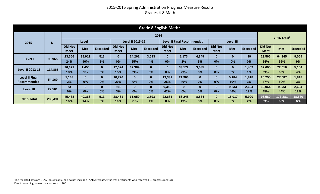#### 2015-2016 Spring Administration Progress Measure Results Grades 4-8 Math

| Grade 8 English Math $1$ |         |                               |              |                 |                               |                         |                 |                               |                                   |                 |                               |            |                 |                               |                         |                 |
|--------------------------|---------|-------------------------------|--------------|-----------------|-------------------------------|-------------------------|-----------------|-------------------------------|-----------------------------------|-----------------|-------------------------------|------------|-----------------|-------------------------------|-------------------------|-----------------|
|                          | 2016    |                               |              |                 |                               |                         |                 |                               |                                   |                 |                               |            |                 |                               | 2016 Total <sup>2</sup> |                 |
| 2015                     | N       |                               | Level I      |                 |                               | <b>Level II 2015-16</b> |                 |                               | <b>Level II Final Recommended</b> |                 |                               | Level III  |                 |                               |                         |                 |
|                          |         | <b>Did Not</b><br><b>Meet</b> | <b>Met</b>   | <b>Exceeded</b> | <b>Did Not</b><br><b>Meet</b> | <b>Met</b>              | <b>Exceeded</b> | <b>Did Not</b><br><b>Meet</b> | <b>Met</b>                        | <b>Exceeded</b> | <b>Did Not</b><br><b>Meet</b> | <b>Met</b> | <b>Exceeded</b> | <b>Did Not</b><br><b>Meet</b> | <b>Met</b>              | <b>Exceeded</b> |
|                          | 96,965  | 23,566                        | 38,911       | 513             | $\mathbf{0}$                  | 24,261                  | 3,593           | $\bf{0}$                      | 1,173                             | 4,849           | $\bf{0}$                      | $\bf{0}$   | 99              | 23,566                        | 64,345                  | 9,054           |
| Level I                  |         | 24%                           | 40%          | 1%              | 0%                            | 25%                     | 4%              | 0%                            | 1%                                | 5%              | 0%                            | 0%         | 0%              | 24%                           | 66%                     | 9%              |
| <b>Level II 2012-15</b>  | 114,865 | 20,671                        | 1,455        | $\bf{0}$        | 17,024                        | 37,389                  | 0               | $\bf{0}$                      | 33,172                            | 3,685           | $\bf{0}$                      | $\bf{0}$   | 1,469           | 37,695                        | 72,016                  | 5,154           |
|                          |         | 18%                           | 1%           | 0%              | 15%                           | 33%                     | 0%              | 0%                            | 29%                               | 3%              | 0%                            | 0%         | 1%              | 33%                           | 63%                     | 4%              |
| <b>Level II Final</b>    | 54,160  | 1,148                         | $\mathbf{0}$ | $\mathbf{0}$    | 10,776                        | $\bf{0}$                | 0               | 13,331                        | 21,903                            | $\bf{0}$        | $\bf{0}$                      | 5,184      | 1,818           | 25,255                        | 27,087                  | 1,818           |
| Recommended              |         | 2%                            | 0%           | 0%              | 20%                           | 0%                      | 0%              | 25%                           | 40%                               | 0%              | 0%                            | 10%        | 3%              | 47%                           | 50%                     | 3%              |
| <b>Level III</b>         | 22,501  | 53                            | $\bf{0}$     | $\mathbf{0}$    | 661                           | $\bf{0}$                | 0               | 9,350                         | $\bf{0}$                          | $\bf{0}$        | $\bf{0}$                      | 9,833      | 2,604           | 10,064                        | 9,833                   | 2,604           |
|                          |         | 0%                            | 0%           | 0%              | 3%                            | 0%                      | 0%              | 42%                           | 0%                                | 0%              | 0%                            | 44%        | 12%             | 45%                           | 44%                     | 12%             |
| 2015 Total               | 288,491 | 45,438                        | 40,366       | 513             | 28,461                        | 61,650                  | 3,593           | 22,681                        | 56,248                            | 8,534           | $\mathbf{0}$                  | 15,017     | 5,990           | 96,580                        | 173,281                 | 18,630          |
|                          |         | 16%                           | 14%          | 0%              | <b>10%</b>                    | 21%                     | 1%              | 8%                            | 19%                               | 3%              | 0%                            | 5%         | 2%              | 33%                           | 60%                     | 6%              |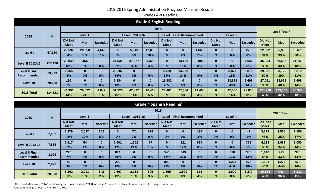#### 2015-2016 Spring Administration Progress Measure Results Grades 4-8 Reading

| Grade 4 English Reading <sup>1</sup> |             |                               |              |                 |                               |                         |                 |                               |                            |                 |                               |                  |                 |                        |                         |                 |
|--------------------------------------|-------------|-------------------------------|--------------|-----------------|-------------------------------|-------------------------|-----------------|-------------------------------|----------------------------|-----------------|-------------------------------|------------------|-----------------|------------------------|-------------------------|-----------------|
|                                      | 2016        |                               |              |                 |                               |                         |                 |                               |                            |                 |                               |                  |                 |                        | 2016 Total <sup>2</sup> |                 |
| 2015                                 | $\mathbf N$ |                               | Level I      |                 |                               | <b>Level II 2015-16</b> |                 |                               | Level II Final Recommended |                 |                               | <b>Level III</b> |                 |                        |                         |                 |
|                                      |             | <b>Did Not</b><br><b>Meet</b> | <b>Met</b>   | <b>Exceeded</b> | <b>Did Not</b><br><b>Meet</b> | <b>Met</b>              | <b>Exceeded</b> | <b>Did Not</b><br><b>Meet</b> | <b>Met</b>                 | <b>Exceeded</b> | <b>Did Not</b><br><b>Meet</b> | <b>Met</b>       | <b>Exceeded</b> | <b>Did Not</b><br>Meet | <b>Met</b>              | <b>Exceeded</b> |
|                                      |             | 22,592                        | 20,058       | 4,642           | $\bf{0}$                      | 5,840                   | 12,098          | 0                             | $\bf{0}$                   | 1,660           | $\bf{0}$                      | 0                | 270             | 22,592                 | 25,898                  | 18,670          |
| Level I                              | 67,160      | 34%                           | 30%          | 7%              | 0%                            | 9%                      | 18%             | 0%                            | 0%                         | 2%              | 0%                            | 0%               | 0%              | 34%                    | 39%                     | 28%             |
| <b>Level II 2012-15</b>              | 117,196     | 20,849                        | 464          | $\mathbf{0}$    | 24,535                        | 37,057                  | 4,320           | $\bf{0}$                      | 13,132                     | 9,808           | $\bf{0}$                      | $\bf{0}$         | 7,031           | 45,384                 | 50,653                  | 21,159          |
|                                      |             | 18%                           | 0%           | 0%              | 21%                           | 32%                     | 4%              | 0%                            | 11%                        | 8%              | 0%                            | 0%               | 6%              | 39%                    | 43%                     | 18%             |
| <b>Level II Final</b>                | 59,829      | 1,355                         | $\mathbf{0}$ | $\mathbf{0}$    | 20,107                        | $\bf{0}$                | $\bf{0}$        | 8,419                         | 14,252                     | $\bf{0}$        | $\bf{0}$                      | 8,877            | 6,819           | 29,881                 | 23,129                  | 6,819           |
| Recommended                          |             | 2%                            | 0%           | 0%              | 34%                           | 0%                      | 0%              | 14%                           | 24%                        | 0%              | 0%                            | 15%              | 11%             | 50%                    | 39%                     | 11%             |
| <b>Level III</b>                     | 70,438      | 195                           | $\mathbf{0}$ | $\mathbf{0}$    | 6,884                         | $\mathbf{0}$            | $\mathbf{0}$    | 19,982                        | $\bf{0}$                   | $\bf{0}$        | $\bf{0}$                      | 33,679           | 9,698           | 27,061                 | 33,679                  | 9,698           |
|                                      |             | 0%                            | 0%           | 0%              | 10%                           | 0%                      | 0%              | 28%                           | 0%                         | 0%              | 0%                            | 48%              | 14%             | 38%                    | 48%                     | 14%             |
| 2015 Total                           | 314,623     | 44,991                        | 20,522       | 4,642           | 51,526                        | 42,897                  | 16,418          | 28,401                        | 27,384                     | 11,468          | $\bf{0}$                      | 42,556           | 23,818          | 124,918                | 133,359                 | 56,346          |
|                                      |             | 14%                           | 7%           | 1%              | 16%                           | 14%                     | 5%              | 9%                            | 9%                         | 4%              | 0%                            | 14%              | 8%              | 40%                    | 42%                     | 18%             |

| Grade 4 Spanish Reading <sup>1</sup> |        |                               |            |              |                               |                         |                 |                               |                                   |          |                               |                  |                 |                               |                         |                 |
|--------------------------------------|--------|-------------------------------|------------|--------------|-------------------------------|-------------------------|-----------------|-------------------------------|-----------------------------------|----------|-------------------------------|------------------|-----------------|-------------------------------|-------------------------|-----------------|
|                                      |        |                               |            |              |                               |                         | 2016            |                               |                                   |          |                               |                  |                 |                               | 2016 Total <sup>2</sup> |                 |
| 2015                                 | N      |                               | Level I    |              |                               | <b>Level II 2015-16</b> |                 |                               | <b>Level II Final Recommended</b> |          |                               | <b>Level III</b> |                 |                               |                         |                 |
|                                      |        | <b>Did Not</b><br><b>Meet</b> | <b>Met</b> | Exceeded     | <b>Did Not</b><br><b>Meet</b> | <b>Met</b>              | <b>Exceeded</b> | <b>Did Not</b><br><b>Meet</b> | <b>Met</b>                        | Exceeded | <b>Did Not</b><br><b>Meet</b> | <b>Met</b>       | <b>Exceeded</b> | <b>Did Not</b><br><b>Meet</b> | <b>Met</b>              | <b>Exceeded</b> |
| 7,082<br>Level I                     |        | 3,379                         | 2,037      | 342          | $\bf{0}$                      | 471                     | 618             | $\bf{0}$                      | $\bf{0}$                          | 194      | $\mathbf{0}$                  | $\bf{0}$         | 41              | 3,379                         | 2,508                   | 1,195           |
|                                      |        | 48%                           | 29%        | 5%           | 0%                            | 7%                      | 9%              | 0%                            | 0%                                | 3%       | 0%                            | 0%               | 1%              | 48%                           | 35%                     | 17%             |
| <b>Level II 2012-15</b>              | 7,835  | 2,617                         | 54         | $\mathbf{0}$ | 1,501                         | 1,662                   | 77              | $\bf{0}$                      | 921                               | 624      | $\bf{0}$                      | $\bf{0}$         | 379             | 4,118                         | 2,637                   | 1,080           |
|                                      |        | 33%                           | 1%         | 0%           | 19%                           | 21%                     | 1%              | 0%                            | 12%                               | 8%       | 0%                            | 0%               | 5%              | 53%                           | 34%                     | 14%             |
| <b>Level II Final</b>                | 3,026  | 226                           | $\bf{0}$   | $\mathbf{0}$ | 874                           | $\bf{0}$                | 0               | 546                           | 669                               | $\bf{0}$ | $\bf{0}$                      | 326              | 385             | 1,646                         | 995                     | 385             |
| Recommended                          |        | 7%                            | 0%         | 0%           | 29%                           | 0%                      | 0%              | 18%                           | 22%                               | 0%       | 0%                            | 11%              | 13%             | 54%                           | 33%                     | 13%             |
| <b>Level III</b>                     | 2,927  | 40                            | $\bf{0}$   | $\mathbf{0}$ | 292                           | $\bf{0}$                | 0               | 849                           | $\bf{0}$                          | $\bf{0}$ | $\bf{0}$                      | 1,274            | 472             | 1,181                         | 1,274                   | 472             |
|                                      |        | 1%                            | 0%         | 0%           | 10%                           | 0%                      | 0%              | 29%                           | 0%                                | 0%       | 0%                            | 44%              | 16%             | 40%                           | 44%                     | 16%             |
| 2015 Total                           | 20,870 | 6,262                         | 2,091      | 342          | 2,667                         | 2,133                   | 695             | 1,395                         | 1,590                             | 818      | $\bf{0}$                      | 1,600            | 1,277           | 10,324                        | 7,414                   | 3,132           |
|                                      |        | 30%                           | 10%        | 2%           | 13%                           | 10%                     | 3%              | 7%                            | 8%                                | 4%       | 0%                            | 8%               | 6%              | 49%                           | 36%                     | 15%             |

<sup>1</sup>The reported data are STAAR results only, and do not include STAAR Alternate2 students or students who received ELL progress measure. <sup>2</sup>Due to rounding, values may not sum to 100.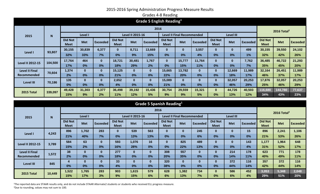| Grade 5 English Reading <sup>1</sup> |              |                               |            |                 |                               |                  |                 |                               |                                   |          |                               |                  |                 |                               |                         |                 |
|--------------------------------------|--------------|-------------------------------|------------|-----------------|-------------------------------|------------------|-----------------|-------------------------------|-----------------------------------|----------|-------------------------------|------------------|-----------------|-------------------------------|-------------------------|-----------------|
|                                      | 2016         |                               |            |                 |                               |                  |                 |                               |                                   |          |                               |                  |                 |                               | 2016 Total <sup>2</sup> |                 |
| 2015                                 | $\mathsf{N}$ |                               | Level I    |                 |                               | Level II 2015-16 |                 |                               | <b>Level II Final Recommended</b> |          |                               | <b>Level III</b> |                 |                               |                         |                 |
|                                      |              | <b>Did Not</b><br><b>Meet</b> | <b>Met</b> | <b>Exceeded</b> | <b>Did Not</b><br><b>Meet</b> | <b>Met</b>       | <b>Exceeded</b> | <b>Did Not</b><br><b>Meet</b> | <b>Met</b>                        | Exceeded | <b>Did Not</b><br><b>Meet</b> | <b>Met</b>       | <b>Exceeded</b> | <b>Did Not</b><br><b>Meet</b> | <b>Met</b>              | <b>Exceeded</b> |
|                                      |              | 30,155                        | 30,839     | 6,377           | $\bf{0}$                      | 8,711            | 13,669          | $\bf{0}$                      | $\bf{0}$                          | 3,557    | $\bf{0}$                      | 0                | 499             | 30,155                        | 39,550                  | 24,102          |
| Level I                              | 93,807       | 32%                           | 33%        | 7%              | 0%                            | 9%               | 15%             | 0%                            | 0%                                | 4%       | 0%                            | 0%               | 1%              | 32%                           | 42%                     | 26%             |
|                                      | 104,500      | 17,764                        | 464        | $\mathbf{0}$    | 18,721                        | 30,481           | 1,767           | $\mathbf{0}$                  | 15,777                            | 11,764   | $\bf{0}$                      | 0                | 7,762           | 36,485                        | 46,722                  | 21,293          |
| <b>Level II 2012-15</b>              |              | 17%                           | 0%         | 0%              | 18%                           | 29%              | 2%              | 0%                            | 15%                               | 11%      | 0%                            | 0%               | 7%              | 35%                           | 45%                     | 20%             |
| <b>Level II Final</b>                | 70,604       | 1,374                         | $\bf{0}$   | $\mathbf{0}$    | 15,125                        | $\bf{0}$         | 0               | 15,665                        | 13,782                            | $\bf{0}$ | $\bf{0}$                      | 12,669           | 11,989          | 32,164                        | 26,451                  | 11,989          |
| <b>Recommended</b>                   |              | 2%                            | 0%         | 0%              | 21%                           | 0%               | 0%              | 22%                           | 20%                               | 0%       | 0%                            | 18%              | 17%             | 46%                           | 37%                     | 17%             |
| <b>Level III</b>                     | 70,186       | 135                           | $\bf{0}$   | $\mathbf{0}$    | 2,652                         | $\bf{0}$         | 0               | 15,089                        | $\bf{0}$                          | $\bf{0}$ | $\bf{0}$                      | 32,057           | 20,253          | 17,876                        | 32,057                  | 20,253          |
|                                      |              | 0%                            | 0%         | 0%              | 4%                            | 0%               | 0%              | 21%                           | 0%                                | 0%       | 0%                            | 46%              | 29%             | 25%                           | 46%                     | 29%             |
| 2015 Total                           |              | 49,428                        | 31,303     | 6,377           | 36,498                        | 39,192           | 15,436          | 30,754                        | 29,559                            | 15,321   | $\bf{0}$                      | 44,726           | 40,503          | 116,680                       | 144,780                 | 77,637          |
|                                      | 339,097      | 15%                           | 9%         | 2%              | 11%                           | 12%              | 5%              | 9%                            | 9%                                | 5%       | 0%                            | 13%              | 12%             | 34%                           | 43%                     | 23%             |

| Grade 5 Spanish Reading <sup>1</sup> |        |                               |              |                 |                               |                  |                 |                               |                                   |                 |                               |                  |                 |                               |            |                 |
|--------------------------------------|--------|-------------------------------|--------------|-----------------|-------------------------------|------------------|-----------------|-------------------------------|-----------------------------------|-----------------|-------------------------------|------------------|-----------------|-------------------------------|------------|-----------------|
|                                      |        |                               |              |                 |                               |                  | 2016            |                               |                                   |                 |                               |                  |                 | 2016 Total <sup>2</sup>       |            |                 |
| 2015                                 | N      |                               | Level I      |                 |                               | Level II 2015-16 |                 |                               | <b>Level II Final Recommended</b> |                 |                               | <b>Level III</b> |                 |                               |            |                 |
|                                      |        | <b>Did Not</b><br><b>Meet</b> | <b>Met</b>   | <b>Exceeded</b> | <b>Did Not</b><br><b>Meet</b> | <b>Met</b>       | <b>Exceeded</b> | <b>Did Not</b><br><b>Meet</b> | <b>Met</b>                        | <b>Exceeded</b> | <b>Did Not</b><br><b>Meet</b> | <b>Met</b>       | <b>Exceeded</b> | <b>Did Not</b><br><b>Meet</b> | <b>Met</b> | <b>Exceeded</b> |
| 4,243<br>Level I                     |        | 896                           | 1,702        | 283             | $\bf{0}$                      | 539              | 563             | $\mathbf{0}$                  | $\bf{0}$                          | 245             | $\bf{0}$                      | 0                | 15              | 896                           | 2,241      | 1,106           |
|                                      |        | 21%                           | 40%          | 7%              | 0%                            | 13%              | 13%             | 0%                            | 0%                                | 6%              | 0%                            | 0%               | 0%              | 21%                           | 53%        | 26%             |
| <b>Level II 2012-15</b>              | 3,789  | 584                           | 63           | $\mathbf{0}$    | 593                           | 1,076            | 16              | $\mathbf{0}$                  | 825                               | 489             | $\mathbf{0}$                  | $\mathbf{0}$     | 143             | 1,177                         | 1,964      | 648             |
|                                      |        | 15%                           | 2%           | 0%              | 16%                           | 28%              | 0%              | 0%                            | 22%                               | 13%             | 0%                            | 0%               | 4%              | 31%                           | 52%        | 17%             |
| <b>Level II Final</b>                | 1,572  | 38                            | $\mathbf{0}$ | $\mathbf{0}$    | 277                           | $\bf{0}$         | $\bf{0}$        | 308                           | 557                               | $\bf{0}$        | $\bf{0}$                      | 214              | 178             | 623                           | 771        | 178             |
| <b>Recommended</b>                   |        | 2%                            | 0%           | 0%              | 18%                           | 0%               | 0%              | 20%                           | 35%                               | 0%              | 0%                            | 14%              | 11%             | 40%                           | 49%        | 11%             |
| <b>Level III</b>                     | 845    | 4                             | $\bf{0}$     | $\mathbf{0}$    | 33                            | $\bf{0}$         | $\bf{0}$        | 320                           | $\mathbf{0}$                      | $\bf{0}$        | $\bf{0}$                      | 372              | 116             | 357                           | 372        | 116             |
|                                      |        | 0%                            | 0%           | 0%              | 4%                            | 0%               | 0%              | 38%                           | 0%                                | 0%              | 0%                            | 44%              | 14%             | 42%                           | 44%        | 14%             |
| 2015 Total                           | 10,449 | 1,522                         | 1,765        | 283             | 903                           | 1,615            | 579             | 628                           | 1,382                             | 734             | $\bf{0}$                      | 586              | 452             | 3,053                         | 5,348      | 2,048           |
|                                      |        | 15%                           | 17%          | 3%              | 9%                            | 15%              | 6%              | 6%                            | 13%                               | 7%              | 0%                            | 6%               | 4%              | 29%                           | 51%        | 20%             |

<sup>1</sup>The reported data are STAAR results only, and do not include STAAR Alternate2 students or students who received ELL progress measure. <sup>2</sup>Due to rounding, values may not sum to 100.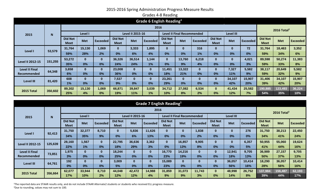| Grade 6 English Reading <sup>1</sup> |         |                               |              |              |                               |            |                 |                                   |              |                 |                               |              |                 |                               |            |                         |  |  |
|--------------------------------------|---------|-------------------------------|--------------|--------------|-------------------------------|------------|-----------------|-----------------------------------|--------------|-----------------|-------------------------------|--------------|-----------------|-------------------------------|------------|-------------------------|--|--|
|                                      |         | 2016                          |              |              |                               |            |                 |                                   |              |                 |                               |              |                 |                               |            | 2016 Total <sup>2</sup> |  |  |
| 2015                                 | N       | Level I                       |              |              | <b>Level II 2015-16</b>       |            |                 | <b>Level II Final Recommended</b> |              |                 |                               | Level III    |                 |                               |            |                         |  |  |
|                                      |         | <b>Did Not</b><br><b>Meet</b> | <b>Met</b>   | Exceeded     | <b>Did Not</b><br><b>Meet</b> | <b>Met</b> | <b>Exceeded</b> | <b>Did Not</b><br><b>Meet</b>     | <b>Met</b>   | <b>Exceeded</b> | <b>Did Not</b><br><b>Meet</b> | <b>Met</b>   | <b>Exceeded</b> | <b>Did Not</b><br><b>Meet</b> | <b>Met</b> | <b>Exceeded</b>         |  |  |
|                                      |         | 31,764                        | 15,130       | 1,069        | $\bf{0}$                      | 3,333      | 1,895           | $\bf{0}$                          | $\mathbf{0}$ | 316             | $\bf{0}$                      | $\mathbf{0}$ | 72              | 31,764                        | 18,463     | 3,352                   |  |  |
| Level I                              | 53,579  | 59%                           | 28%          | 2%           | 0%                            | 6%         | 4%              | 0%                                | 0%           | 1%              | 0%                            | 0%           | 0%              | 59%                           | 34%        | 6%                      |  |  |
| <b>Level II 2012-15</b>              | 151,255 | 53,272                        | $\mathbf{0}$ | $\mathbf{0}$ | 36,326                        | 36,514     | 1,144           | $\mathbf{0}$                      | 13,760       | 6,218           | $\bf{0}$                      | $\mathbf{0}$ | 4,021           | 89,598                        | 50,274     | 11,383                  |  |  |
|                                      |         | 35%                           | 0%           | 0%           | 24%                           | 24%        | 1%              | 0%                                | 9%           | 4%              | 0%                            | 0%           | 3%              | 59%                           | 33%        | 8%                      |  |  |
| <b>Level II Final</b>                | 64,348  | 3,658                         | $\mathbf{0}$ | $\bf{0}$     | 23,008                        | $\bf{0}$   | $\bf{0}$        | 11,451                            | 13,322       | $\bf{0}$        | $\bf{0}$                      | 7,327        | 5,582           | 38,117                        | 20,649     | 5,582                   |  |  |
| Recommended                          |         | 6%                            | 0%           | 0%           | 36%                           | 0%         | $0\%$           | 18%                               | 21%          | 0%              | 0%                            | 11%          | 9%              | 59%                           | 32%        | 9%                      |  |  |
| <b>Level III</b>                     | 81,420  | 608                           | $\mathbf{0}$ | $\mathbf{0}$ | 7,537                         | $\bf{0}$   | $\bf{0}$        | 23,261                            | $\bf{0}$     | $\bf{0}$        | $\bf{0}$                      | 34,107       | 15,907          | 31,406                        | 34,107     | 15,907                  |  |  |
|                                      |         | 1%                            | 0%           | 0%           | 9%                            | 0%         | 0%              | 29%                               | 0%           | 0%              | 0%                            | 42%          | 20%             | 39%                           | 42%        | 20%                     |  |  |
| 2015 Total                           | 350,602 | 89,302                        | 15,130       | 1,069        | 66,871                        | 39,847     | 3,039           | 34,712                            | 27,082       | 6,534           | $\bf{0}$                      | 41,434       | 25,582          | 190,885                       | 123,493    | 36,224                  |  |  |
|                                      |         | 25%                           | 4%           | 0%           | 19%                           | 11%        | 1%              | 10%                               | 8%           | 2%              | 0%                            | 12%          | 7%              | 54%                           | 35%        | 10%                     |  |  |

| Grade 7 English Reading <sup>1</sup> |         |                               |              |                 |                               |            |              |                                   |            |                 |                               |                  |                 |                               |            |                         |  |  |  |
|--------------------------------------|---------|-------------------------------|--------------|-----------------|-------------------------------|------------|--------------|-----------------------------------|------------|-----------------|-------------------------------|------------------|-----------------|-------------------------------|------------|-------------------------|--|--|--|
|                                      |         | 2016                          |              |                 |                               |            |              |                                   |            |                 |                               |                  |                 |                               |            | 2016 Total <sup>2</sup> |  |  |  |
| 2015                                 | N       | Level I                       |              |                 | <b>Level II 2015-16</b>       |            |              | <b>Level II Final Recommended</b> |            |                 |                               | <b>Level III</b> |                 |                               |            |                         |  |  |  |
|                                      |         | <b>Did Not</b><br><b>Meet</b> | <b>Met</b>   | <b>Exceeded</b> | <b>Did Not</b><br><b>Meet</b> | <b>Met</b> | Exceeded     | <b>Did Not</b><br><b>Meet</b>     | <b>Met</b> | <b>Exceeded</b> | <b>Did Not</b><br><b>Meet</b> | <b>Met</b>       | <b>Exceeded</b> | <b>Did Not</b><br><b>Meet</b> | <b>Met</b> | <b>Exceeded</b>         |  |  |  |
|                                      |         | 31,750                        | 32,377       | 8,710           | $\bf{0}$                      | 5,836      | 11,626       | $\bf{0}$                          | $\bf{0}$   | 1,838           | $\bf{0}$                      | $\bf{0}$         | 276             | 31,750                        | 38,213     | 22,450                  |  |  |  |
| Level I                              | 92,413  | 34%                           | 35%          | 9%              | 0%                            | 6%         | 13%          | 0%                                | 0%         | 2%              | 0%                            | 0%               | 0%              | 34%                           | 41%        | 24%                     |  |  |  |
| <b>Level II 2012-15</b>              | 125,639 | 28,160                        | 1,567        | $\mathbf{0}$    | 22,795                        | 36,636     | 3,362        | $\mathbf{0}$                      | 16,857     | 9,905           | $\bf{0}$                      | $\mathbf{0}$     | 6,357           | 50,955                        | 55,060     | 19,624                  |  |  |  |
|                                      |         | 22%                           | 1%           | 0%              | 18%                           | 29%        | 3%           | 0%                                | 13%        | 8%              | 0%                            | 0%               | 5%              | 41%                           | 44%        | 16%                     |  |  |  |
| <b>Level II Final</b>                | 73,851  | 1,975                         | $\mathbf{0}$ | $\mathbf{0}$    | 18,244                        | $\bf{0}$   | $\mathbf{0}$ | 16,770                            | 14,216     | $\mathbf{0}$    | $\bf{0}$                      | 12,941           | 9,705           | 36,989                        | 27,157     | 9,705                   |  |  |  |
| Recommended                          |         | 3%                            | 0%           | 0%              | 25%                           | 0%         | 0%           | 23%                               | 19%        | 0%              | 0%                            | 18%              | 13%             | 50%                           | 37%        | 13%                     |  |  |  |
| <b>Level III</b>                     | 64,761  | 192                           | $\mathbf{0}$ | $\mathbf{0}$    | 3,009                         | $\bf{0}$   | $\mathbf{0}$ | 15,089                            | $\bf{0}$   | $\bf{0}$        | $\bf{0}$                      | 36,057           | 10,414          | 18,290                        | 36,057     | 10,414                  |  |  |  |
|                                      |         | 0%                            | 0%           | 0%              | 5%                            | 0%         | 0%           | 23%                               | 0%         | 0%              | 0%                            | 56%              | 16%             | 28%                           | 56%        | 16%                     |  |  |  |
| 2015 Total                           | 356,664 | 62,077                        | 33,944       | 8,710           | 44,048                        | 42,472     | 14,988       | 31,859                            | 31,073     | 11,743          | $\mathbf{0}$                  | 48,998           | 26,752          | 137,984                       | 156,487    | 62,193                  |  |  |  |
|                                      |         | 17%                           | 10%          | 2%              | 12%                           | 12%        | 4%           | 9%                                | 9%         | 3%              | 0%                            | 14%              | 8%              | 39%                           | 44%        | 17%                     |  |  |  |

<sup>1</sup>The reported data are STAAR results only, and do not include STAAR Alternate2 students or students who received ELL progress measure. <sup>2</sup>Due to rounding, values may not sum to 100.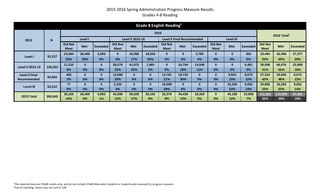#### 2015-2016 Spring Administration Progress Measure Results Grades 4-8 Reading

| Grade 8 English Reading <sup>1</sup> |         |                               |              |                 |                               |            |                 |                               |            |          |                               |              |                 |                               |            |                         |  |  |  |
|--------------------------------------|---------|-------------------------------|--------------|-----------------|-------------------------------|------------|-----------------|-------------------------------|------------|----------|-------------------------------|--------------|-----------------|-------------------------------|------------|-------------------------|--|--|--|
|                                      |         | 2016                          |              |                 |                               |            |                 |                               |            |          |                               |              |                 |                               |            | 2016 Total <sup>2</sup> |  |  |  |
| 2015                                 | N       | Level I                       |              |                 | <b>Level II 2015-16</b>       |            |                 | Level II Final Recommended    |            |          |                               | Level III    |                 |                               |            |                         |  |  |  |
|                                      |         | <b>Did Not</b><br><b>Meet</b> | <b>Met</b>   | <b>Exceeded</b> | <b>Did Not</b><br><b>Meet</b> | <b>Met</b> | <b>Exceeded</b> | <b>Did Not</b><br><b>Meet</b> | <b>Met</b> | Exceeded | <b>Did Not</b><br><b>Meet</b> | <b>Met</b>   | <b>Exceeded</b> | <b>Did Not</b><br><b>Meet</b> | <b>Met</b> | Exceeded                |  |  |  |
|                                      | 93,317  | 23,484                        | 26,400       | 5,093           | $\bf{0}$                      | 16,056     | 18,202          | $\bf{0}$                      | $\bf{0}$   | 3,780    | $\bf{0}$                      | $\bf{0}$     | 302             | 23,484                        | 42,456     | 27,377                  |  |  |  |
| Level I                              |         | 25%                           | 28%          | 5%              | 0%                            | 17%        | 20%             | 0%                            | 0%         | 4%       | 0%                            | 0%           | 0%              | 25%                           | 45%        | 29%                     |  |  |  |
| <b>Level II 2012-15</b>              | 129,253 | 11,310                        | $\bf{0}$     | $\mathbf{0}$    | 28,278                        | 41,972     | 1,960           | $\mathbf{0}$                  | 24,704     | 14,548   | $\bf{0}$                      | $\mathbf{0}$ | 6,481           | 39,588                        | 66,676     | 22,989                  |  |  |  |
|                                      |         | 9%                            | 0%           | 0%              | 22%                           | 32%        | 2%              | 0%                            | 19%        | 11%      | 0%                            | 0%           | 5%              | 31%                           | 52%        | 18%                     |  |  |  |
| <b>Level II Final</b>                | 65,063  | 455                           | $\bf{0}$     | $\mathbf{0}$    | 13,098                        | $\bf{0}$   | 0               | 13,781                        | 19,732     | $\bf{0}$ | $\bf{0}$                      | 9,924        | 8,073           | 27,334                        | 29,656     | 8,073                   |  |  |  |
| Recommended                          |         | 1%                            | 0%           | 0%              | 20%                           | 0%         | 0%              | 21%                           | 30%        | 0%       | 0%                            | 15%          | 12%             | 42%                           | 46%        | 12%                     |  |  |  |
| <b>Level III</b>                     | 63,212  | 77                            | $\mathbf{0}$ | $\mathbf{0}$    | 2,220                         | $\bf{0}$   | 0               | 18,598                        | $\bf{0}$   | $\bf{0}$ | $\bf{0}$                      | 33,265       | 9,052           | 20,895                        | 33,265     | 9,052                   |  |  |  |
|                                      |         | 0%                            | 0%           | 0%              | 4%                            | 0%         | 0%              | 29%                           | 0%         | 0%       | 0%                            | 53%          | 14%             | 33%                           | 53%        | 14%                     |  |  |  |
| 2015 Total                           | 350,845 | 35,326                        | 26,400       | 5,093           | 43,596                        | 58,028     | 20,162          | 32,379                        | 44,436     | 18,328   | $\mathbf{0}$                  | 43,189       | 23,908          | 111,301                       | 172,053    | 67,491                  |  |  |  |
|                                      |         | 10%                           | 8%           | 1%              | 12%                           | 17%        | 6%              | 9%                            | 13%        | 5%       | 0%                            | 12%          | 7%              | 32%                           | 49%        | 19%                     |  |  |  |